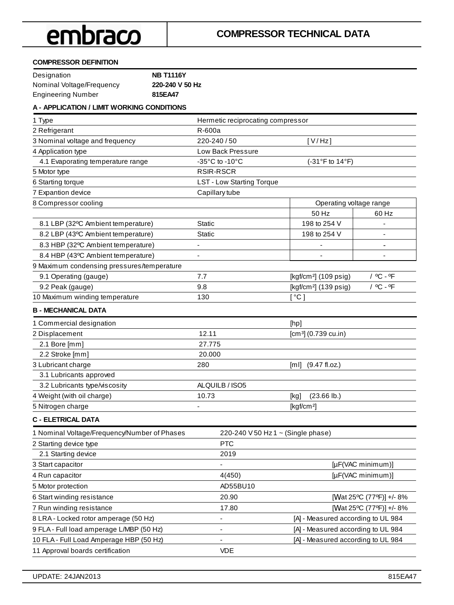#### **COMPRESSOR DEFINITION**

| Designation               | <b>NB T1116Y</b> |
|---------------------------|------------------|
| Nominal Voltage/Frequency | 220-240 V 50 Hz  |
| <b>Engineering Number</b> | 815EA47          |

#### **A - APPLICATION / LIMIT WORKING CONDITIONS**

| R-600a                               |                                                                         |
|--------------------------------------|-------------------------------------------------------------------------|
| 220-240 / 50                         | [V/Hz]                                                                  |
| Low Back Pressure                    |                                                                         |
| -35 $^{\circ}$ C to -10 $^{\circ}$ C | (-31°F to 14°F)                                                         |
| <b>RSIR-RSCR</b>                     |                                                                         |
| <b>LST - Low Starting Torque</b>     |                                                                         |
| Capillary tube                       |                                                                         |
|                                      | Operating voltage range                                                 |
|                                      | 50 Hz<br>60 Hz                                                          |
| Static                               | 198 to 254 V                                                            |
| <b>Static</b>                        | 198 to 254 V                                                            |
| $\qquad \qquad \blacksquare$         | $\overline{a}$<br>$\qquad \qquad \blacksquare$                          |
|                                      |                                                                         |
|                                      |                                                                         |
| 7.7                                  | / °C - °F<br>[ $kgf/cm2$ ] (109 psig)                                   |
| 9.8                                  | / °C - °F<br>[kgf/cm <sup>2</sup> ] (139 psig)                          |
| 130                                  | [°C]                                                                    |
|                                      |                                                                         |
|                                      | [hp]                                                                    |
| 12.11                                | $[cm3]$ (0.739 cu.in)                                                   |
| 27.775                               |                                                                         |
| 20.000                               |                                                                         |
| 280                                  | [ml] (9.47 fl.oz.)                                                      |
|                                      |                                                                         |
| ALQUILB / ISO5                       |                                                                         |
| 10.73                                | $(23.66 \, lb.)$<br>[kg]                                                |
|                                      | [kgf/cm <sup>2</sup> ]                                                  |
|                                      |                                                                         |
|                                      |                                                                         |
| <b>PTC</b>                           |                                                                         |
| 2019                                 |                                                                         |
| $\qquad \qquad \blacksquare$         | [µF(VAC minimum)]                                                       |
| 4(450)                               | [µF(VAC minimum)]                                                       |
| AD55BU10                             |                                                                         |
| 20.90                                | $[\Omega$ at 25°C (77°F)] +/-8%                                         |
| 17.80                                | $[\Omega$ at 25°C (77°F)] +/-8%                                         |
| $\overline{\phantom{0}}$             | [A] - Measured according to UL 984                                      |
| $\qquad \qquad \blacksquare$         | [A] - Measured according to UL 984                                      |
|                                      | [A] - Measured according to UL 984                                      |
| <b>VDE</b>                           |                                                                         |
|                                      | Hermetic reciprocating compressor<br>220-240 V 50 Hz 1 ~ (Single phase) |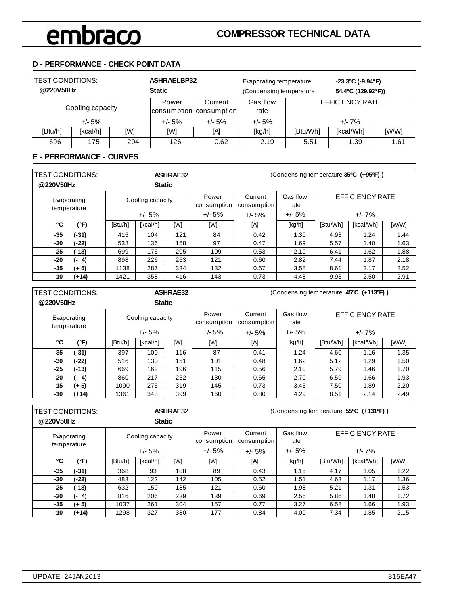### **D - PERFORMANCE - CHECK POINT DATA**

| <b>TEST CONDITIONS:</b><br>@220V50Hz |          |     | <b>ASHRAELBP32</b><br>Evaporating temperature<br><b>Static</b><br>(Condensing temperature |                                    |                  |                 | $-23.3^{\circ}$ C (-9.94 $^{\circ}$ F)<br>54.4°C (129.92°F)) |       |
|--------------------------------------|----------|-----|-------------------------------------------------------------------------------------------|------------------------------------|------------------|-----------------|--------------------------------------------------------------|-------|
| Cooling capacity                     |          |     | Power                                                                                     | Current<br>consumption consumption | Gas flow<br>rate | EFFICIENCY RATE |                                                              |       |
| $+/- 5%$                             |          |     | $+/- 5%$                                                                                  | $+/- 5%$                           | $+/- 5%$         | $+/- 7\%$       |                                                              |       |
| [Btu/h]                              | [kcal/h] | [W] | [W]                                                                                       | [A]                                | [kg/h]           | [Btu/Wh]        | [kcal/Wh]                                                    | [W/W] |
| 696                                  | 175      | 204 | 126                                                                                       | 0.62                               | 2.19             | 5.51            | 1.39                                                         | 1.61  |

#### **E - PERFORMANCE - CURVES**

| <b>TEST CONDITIONS:</b><br>@220V50Hz |           | <b>ASHRAE32</b><br><b>Static</b> |                              |     |                                  | (Condensing temperature 35°C (+95°F)) |                              |          |                                     |       |
|--------------------------------------|-----------|----------------------------------|------------------------------|-----|----------------------------------|---------------------------------------|------------------------------|----------|-------------------------------------|-------|
| Evaporating<br>temperature           |           |                                  | Cooling capacity<br>$+/- 5%$ |     | Power<br>consumption<br>$+/- 5%$ | Current<br>consumption<br>$+/- 5%$    | Gas flow<br>rate<br>$+/- 5%$ |          | <b>EFFICIENCY RATE</b><br>$+/- 7\%$ |       |
| °C                                   | (°F)      | [Btu/h]                          | [kcal/h]                     | [W] | [W]                              | [A]                                   | [kg/h]                       | [Btu/Wh] | [kcal/Wh]                           | [W/W] |
| $-35$                                | (-31)     | 415                              | 104                          | 121 | 84                               | 0.42                                  | 1.30                         | 4.93     | 1.24                                | 1.44  |
| -30                                  | $(-22)$   | 538                              | 136                          | 158 | 97                               | 0.47                                  | 1.69                         | 5.57     | 1.40                                | 1.63  |
| $-25$                                | (-13)     | 699                              | 176                          | 205 | 109                              | 0.53                                  | 2.19                         | 6.41     | 1.62                                | 1.88  |
| -20                                  | 4)<br>. . | 898                              | 226                          | 263 | 121                              | 0.60                                  | 2.82                         | 7.44     | 1.87                                | 2.18  |
| -15                                  | $(+ 5)$   | 1138                             | 287                          | 334 | 132                              | 0.67                                  | 3.58                         | 8.61     | 2.17                                | 2.52  |
| -10                                  | $(+14)$   | 1421                             | 358                          | 416 | 143                              | 0.73                                  | 4.48                         | 9.93     | 2.50                                | 2.91  |

| TEST CONDITIONS:<br>@220V50Hz |                            |         | <b>Static</b>    | <b>ASHRAE32</b> | (Condensing temperature 45°C (+113°F)) |                        |                  |          |                 |       |
|-------------------------------|----------------------------|---------|------------------|-----------------|----------------------------------------|------------------------|------------------|----------|-----------------|-------|
|                               | Evaporating<br>temperature |         | Cooling capacity |                 | Power<br>consumption                   | Current<br>consumption | Gas flow<br>rate |          | EFFICIENCY RATE |       |
|                               |                            |         | $+/- 5%$         |                 | $+/- 5\%$                              | $+/- 5%$               | $+/- 5%$         |          | $+/- 7\%$       |       |
| °C                            | (°F)                       | [Btu/h] | [kcal/h]         | [W]             | [W]                                    | [A]                    | [kg/h]           | [Btu/Wh] | [kcal/Wh]       | [W/W] |
| -35                           | (-31)                      | 397     | 100              | 116             | 87                                     | 0.41                   | 1.24             | 4.60     | 1.16            | 1.35  |
| -30                           | $(-22)$                    | 516     | 130              | 151             | 101                                    | 0.48                   | 1.62             | 5.12     | 1.29            | 1.50  |
| $-25$                         | $(-13)$                    | 669     | 169              | 196             | 115                                    | 0.56                   | 2.10             | 5.79     | 1.46            | 1.70  |
| -20                           | $(-4)$                     | 860     | 217              | 252             | 130                                    | 0.65                   | 2.70             | 6.59     | 1.66            | 1.93  |
| -15                           | $(+ 5)$                    | 1090    | 275              | 319             | 145                                    | 0.73                   | 3.43             | 7.50     | 1.89            | 2.20  |
| -10                           | $(+14)$                    | 1361    | 343              | 399             | 160                                    | 0.80                   | 4.29             | 8.51     | 2.14            | 2.49  |

| TEST CONDITIONS:<br>@220V50Hz |             |         | <b>Static</b>    | <b>ASHRAE32</b> |                      | (Condensing temperature 55°C (+131°F)) |                  |          |                 |       |
|-------------------------------|-------------|---------|------------------|-----------------|----------------------|----------------------------------------|------------------|----------|-----------------|-------|
| Evaporating                   | temperature |         | Cooling capacity |                 | Power<br>consumption | Current<br>consumption                 | Gas flow<br>rate |          | EFFICIENCY RATE |       |
|                               |             |         | $+/- 5%$         |                 | $+/- 5%$             | $+/- 5%$                               | $+/- 5\%$        |          | $+/- 7\%$       |       |
| ۰c                            | (°F)        | [Btu/h] | [kcal/h]         | [W]             | [W]                  | [A]                                    | [kg/h]           | [Btu/Wh] | [kcal/Wh]       | [W/W] |
| -35                           | $(-31)$     | 368     | 93               | 108             | 89                   | 0.43                                   | 1.15             | 4.17     | 1.05            | 1.22  |
| -30                           | (-22)       | 483     | 122              | 142             | 105                  | 0.52                                   | 1.51             | 4.63     | 1.17            | 1.36  |
| $-25$                         | $(-13)$     | 632     | 159              | 185             | 121                  | 0.60                                   | 1.98             | 5.21     | 1.31            | 1.53  |
| -20                           | (- 4)       | 816     | 206              | 239             | 139                  | 0.69                                   | 2.56             | 5.86     | 1.48            | 1.72  |
| $-15$                         | $(+ 5)$     | 1037    | 261              | 304             | 157                  | 0.77                                   | 3.27             | 6.58     | 1.66            | 1.93  |
| -10                           | (+14)       | 1298    | 327              | 380             | 177                  | 0.84                                   | 4.09             | 7.34     | 1.85            | 2.15  |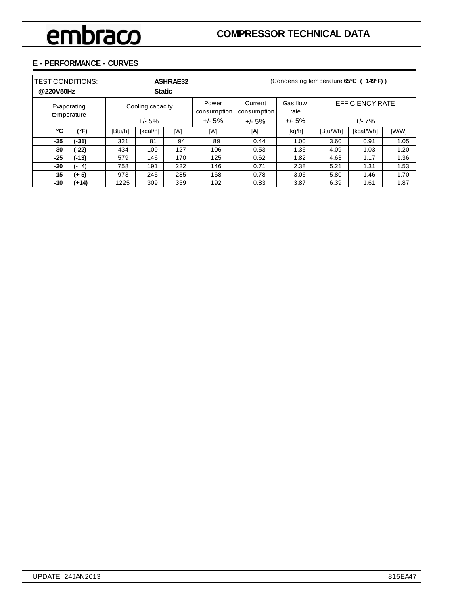### **E - PERFORMANCE - CURVES**

| <b>TEST CONDITIONS:</b><br>@220V50Hz |             | <b>ASHRAE32</b><br><b>Static</b> |                              |     |                                  | (Condensing temperature 65°C (+149°F)) |                              |          |                                    |       |
|--------------------------------------|-------------|----------------------------------|------------------------------|-----|----------------------------------|----------------------------------------|------------------------------|----------|------------------------------------|-------|
| temperature                          | Evaporating |                                  | Cooling capacity<br>$+/- 5%$ |     | Power<br>consumption<br>$+/- 5%$ | Current<br>consumption<br>$+/- 5%$     | Gas flow<br>rate<br>$+/- 5%$ |          | <b>EFFICIENCY RATE</b><br>$+/- 7%$ |       |
| °C                                   | (°F)        | [Btu/h]                          | [kcal/h]                     | [W] | [W]                              | [A]                                    | [kg/h]                       | [Btu/Wh] | [kcal/Wh]                          | [W/W] |
| $-35$                                | (-31)       | 321                              | 81                           | 94  | 89                               | 0.44                                   | 1.00                         | 3.60     | 0.91                               | 1.05  |
| -30                                  | $(-22)$     | 434                              | 109                          | 127 | 106                              | 0.53                                   | 1.36                         | 4.09     | 1.03                               | 1.20  |
| $-25$                                | $(-13)$     | 579                              | 146                          | 170 | 125                              | 0.62                                   | 1.82                         | 4.63     | 1.17                               | 1.36  |
| -20                                  | 4)<br>. .   | 758                              | 191                          | 222 | 146                              | 0.71                                   | 2.38                         | 5.21     | 1.31                               | 1.53  |
| -15                                  | $(+ 5)$     | 973                              | 245                          | 285 | 168                              | 0.78                                   | 3.06                         | 5.80     | 1.46                               | 1.70  |
| -10                                  | (+14)       | 1225                             | 309                          | 359 | 192                              | 0.83                                   | 3.87                         | 6.39     | 1.61                               | 1.87  |